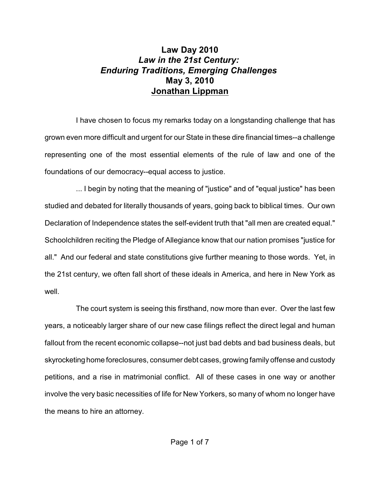## **Law Day 2010**  *Law in the 21st Century: Enduring Traditions, Emerging Challenges* **May 3, 2010 Jonathan Lippman**

I have chosen to focus my remarks today on a longstanding challenge that has grown even more difficult and urgent for our State in these dire financial times--a challenge representing one of the most essential elements of the rule of law and one of the foundations of our democracy--equal access to justice.

... I begin by noting that the meaning of "justice" and of "equal justice" has been studied and debated for literally thousands of years, going back to biblical times. Our own Declaration of Independence states the self-evident truth that "all men are created equal." Schoolchildren reciting the Pledge of Allegiance know that our nation promises "justice for all." And our federal and state constitutions give further meaning to those words. Yet, in the 21st century, we often fall short of these ideals in America, and here in New York as well.

The court system is seeing this firsthand, now more than ever. Over the last few years, a noticeably larger share of our new case filings reflect the direct legal and human fallout from the recent economic collapse--not just bad debts and bad business deals, but skyrocketing home foreclosures, consumer debt cases, growing family offense and custody petitions, and a rise in matrimonial conflict. All of these cases in one way or another involve the very basic necessities of life for New Yorkers, so many of whom no longer have the means to hire an attorney.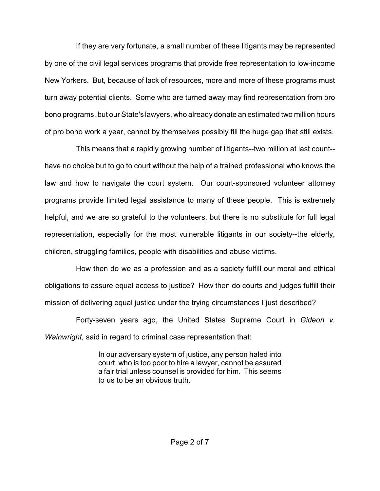If they are very fortunate, a small number of these litigants may be represented by one of the civil legal services programs that provide free representation to low-income New Yorkers. But, because of lack of resources, more and more of these programs must turn away potential clients. Some who are turned away may find representation from pro bono programs, but our State's lawyers, who already donate an estimated two million hours of pro bono work a year, cannot by themselves possibly fill the huge gap that still exists.

This means that a rapidly growing number of litigants--two million at last count- have no choice but to go to court without the help of a trained professional who knows the law and how to navigate the court system. Our court-sponsored volunteer attorney programs provide limited legal assistance to many of these people. This is extremely helpful, and we are so grateful to the volunteers, but there is no substitute for full legal representation, especially for the most vulnerable litigants in our society--the elderly, children, struggling families, people with disabilities and abuse victims.

How then do we as a profession and as a society fulfill our moral and ethical obligations to assure equal access to justice? How then do courts and judges fulfill their mission of delivering equal justice under the trying circumstances I just described?

Forty-seven years ago, the United States Supreme Court in *Gideon v. Wainwright,* said in regard to criminal case representation that:

> In our adversary system of justice, any person haled into court, who is too poor to hire a lawyer, cannot be assured a fair trial unless counsel is provided for him. This seems to us to be an obvious truth.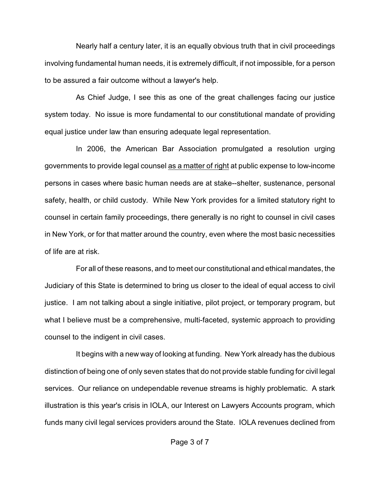Nearly half a century later, it is an equally obvious truth that in civil proceedings involving fundamental human needs, it is extremely difficult, if not impossible, for a person to be assured a fair outcome without a lawyer's help.

As Chief Judge, I see this as one of the great challenges facing our justice system today. No issue is more fundamental to our constitutional mandate of providing equal justice under law than ensuring adequate legal representation.

In 2006, the American Bar Association promulgated a resolution urging governments to provide legal counsel as a matter of right at public expense to low-income persons in cases where basic human needs are at stake--shelter, sustenance, personal safety, health, or child custody. While New York provides for a limited statutory right to counsel in certain family proceedings, there generally is no right to counsel in civil cases in New York, or for that matter around the country, even where the most basic necessities of life are at risk.

For all of these reasons, and to meet our constitutional and ethical mandates, the Judiciary of this State is determined to bring us closer to the ideal of equal access to civil justice. I am not talking about a single initiative, pilot project, or temporary program, but what I believe must be a comprehensive, multi-faceted, systemic approach to providing counsel to the indigent in civil cases.

It begins with a new way of looking at funding. New York already has the dubious distinction of being one of only seven states that do not provide stable funding for civil legal services. Our reliance on undependable revenue streams is highly problematic. A stark illustration is this year's crisis in IOLA, our Interest on Lawyers Accounts program, which funds many civil legal services providers around the State. IOLA revenues declined from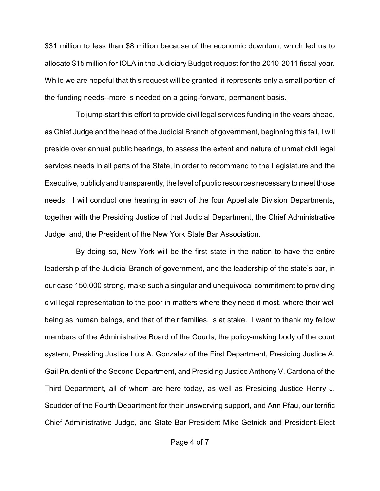\$31 million to less than \$8 million because of the economic downturn, which led us to allocate \$15 million for IOLA in the Judiciary Budget request for the 2010-2011 fiscal year. While we are hopeful that this request will be granted, it represents only a small portion of the funding needs--more is needed on a going-forward, permanent basis.

To jump-start this effort to provide civil legal services funding in the years ahead, as Chief Judge and the head of the Judicial Branch of government, beginning this fall, I will preside over annual public hearings, to assess the extent and nature of unmet civil legal services needs in all parts of the State, in order to recommend to the Legislature and the Executive, publicly and transparently, the level of public resources necessary to meet those needs. I will conduct one hearing in each of the four Appellate Division Departments, together with the Presiding Justice of that Judicial Department, the Chief Administrative Judge, and, the President of the New York State Bar Association.

By doing so, New York will be the first state in the nation to have the entire leadership of the Judicial Branch of government, and the leadership of the state's bar, in our case 150,000 strong, make such a singular and unequivocal commitment to providing civil legal representation to the poor in matters where they need it most, where their well being as human beings, and that of their families, is at stake. I want to thank my fellow members of the Administrative Board of the Courts, the policy-making body of the court system, Presiding Justice Luis A. Gonzalez of the First Department, Presiding Justice A. Gail Prudenti of the Second Department, and Presiding Justice Anthony V. Cardona of the Third Department, all of whom are here today, as well as Presiding Justice Henry J. Scudder of the Fourth Department for their unswerving support, and Ann Pfau, our terrific Chief Administrative Judge, and State Bar President Mike Getnick and President-Elect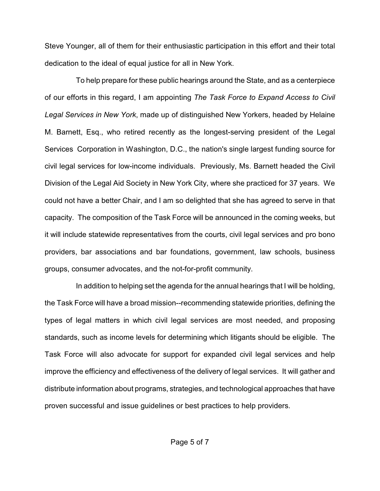Steve Younger, all of them for their enthusiastic participation in this effort and their total dedication to the ideal of equal justice for all in New York.

To help prepare for these public hearings around the State, and as a centerpiece of our efforts in this regard, I am appointing *The Task Force to Expand Access to Civil Legal Services in New York*, made up of distinguished New Yorkers, headed by Helaine M. Barnett, Esq., who retired recently as the longest-serving president of the Legal Services Corporation in Washington, D.C., the nation's single largest funding source for civil legal services for low-income individuals. Previously, Ms. Barnett headed the Civil Division of the Legal Aid Society in New York City, where she practiced for 37 years. We could not have a better Chair, and I am so delighted that she has agreed to serve in that capacity. The composition of the Task Force will be announced in the coming weeks, but it will include statewide representatives from the courts, civil legal services and pro bono providers, bar associations and bar foundations, government, law schools, business groups, consumer advocates, and the not-for-profit community.

In addition to helping set the agenda for the annual hearings that I will be holding, the Task Force will have a broad mission--recommending statewide priorities, defining the types of legal matters in which civil legal services are most needed, and proposing standards, such as income levels for determining which litigants should be eligible. The Task Force will also advocate for support for expanded civil legal services and help improve the efficiency and effectiveness of the delivery of legal services. It will gather and distribute information about programs, strategies, and technological approaches that have proven successful and issue guidelines or best practices to help providers.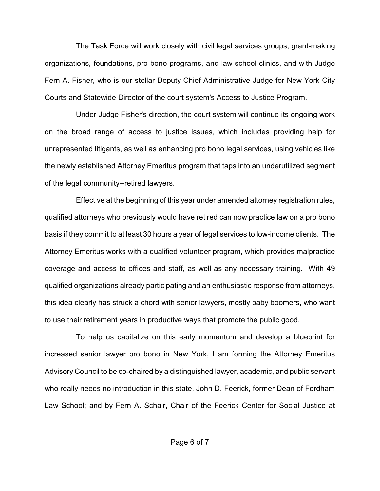The Task Force will work closely with civil legal services groups, grant-making organizations, foundations, pro bono programs, and law school clinics, and with Judge Fern A. Fisher, who is our stellar Deputy Chief Administrative Judge for New York City Courts and Statewide Director of the court system's Access to Justice Program.

Under Judge Fisher's direction, the court system will continue its ongoing work on the broad range of access to justice issues, which includes providing help for unrepresented litigants, as well as enhancing pro bono legal services, using vehicles like the newly established Attorney Emeritus program that taps into an underutilized segment of the legal community--retired lawyers.

Effective at the beginning of this year under amended attorney registration rules, qualified attorneys who previously would have retired can now practice law on a pro bono basis if they commit to at least 30 hours a year of legal services to low-income clients. The Attorney Emeritus works with a qualified volunteer program, which provides malpractice coverage and access to offices and staff, as well as any necessary training. With 49 qualified organizations already participating and an enthusiastic response from attorneys, this idea clearly has struck a chord with senior lawyers, mostly baby boomers, who want to use their retirement years in productive ways that promote the public good.

To help us capitalize on this early momentum and develop a blueprint for increased senior lawyer pro bono in New York, I am forming the Attorney Emeritus Advisory Council to be co-chaired by a distinguished lawyer, academic, and public servant who really needs no introduction in this state, John D. Feerick, former Dean of Fordham Law School; and by Fern A. Schair, Chair of the Feerick Center for Social Justice at